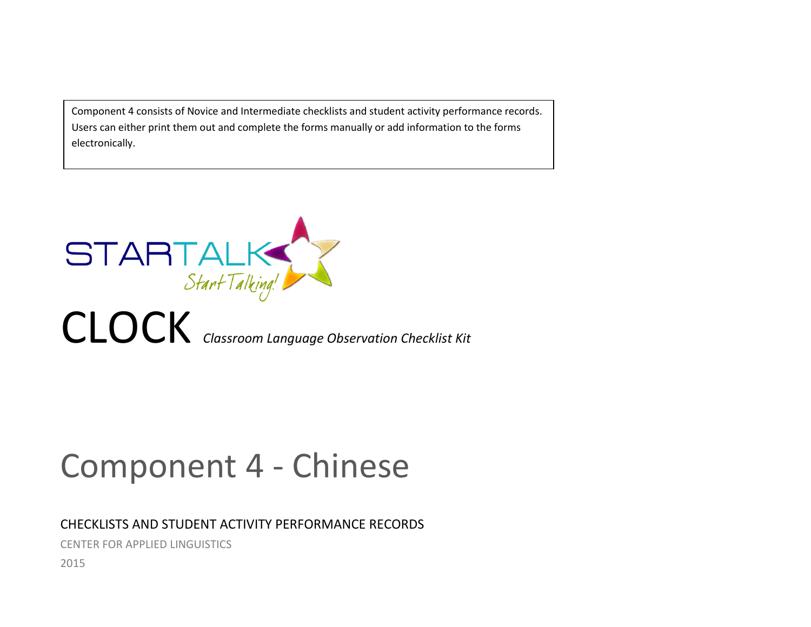Component 4 consists of Novice and Intermediate checklists and student activity performance records. Users can either print them out and complete the forms manually or add information to the forms electronically.



# Component 4 - Chinese

# CHECKLISTS AND STUDENT ACTIVITY PERFORMANCE RECORDS

CENTER FOR APPLIED LINGUISTICS

2015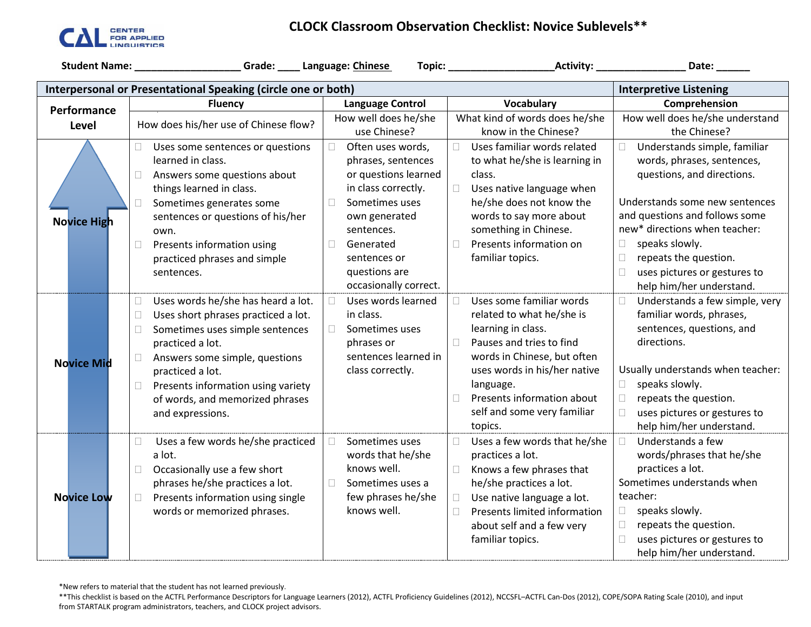

## **CLOCK Classroom Observation Checklist: Novice Sublevels\*\***

|                                                                                                | Student Name: ___________________Grade: ____ Language: Chinese |                            |                                     | Date: ______                             |  |  |  |
|------------------------------------------------------------------------------------------------|----------------------------------------------------------------|----------------------------|-------------------------------------|------------------------------------------|--|--|--|
| Interpersonal or Presentational Speaking (circle one or both)<br><b>Interpretive Listening</b> |                                                                |                            |                                     |                                          |  |  |  |
| Performance                                                                                    | <b>Fluency</b>                                                 | <b>Language Control</b>    | Vocabulary                          | Comprehension                            |  |  |  |
|                                                                                                | How does his/her use of Chinese flow?                          | How well does he/she       | What kind of words does he/she      | How well does he/she understand          |  |  |  |
| Level                                                                                          |                                                                | use Chinese?               | know in the Chinese?                | the Chinese?                             |  |  |  |
|                                                                                                | □.<br>Uses some sentences or questions                         | Often uses words,<br>П     | Uses familiar words related<br>П    | Understands simple, familiar<br>$\Box$   |  |  |  |
|                                                                                                | learned in class.                                              | phrases, sentences         | to what he/she is learning in       | words, phrases, sentences,               |  |  |  |
|                                                                                                | Answers some questions about<br>$\Box$                         | or questions learned       | class.                              | questions, and directions.               |  |  |  |
|                                                                                                | things learned in class.                                       | in class correctly.        | $\Box$<br>Uses native language when |                                          |  |  |  |
|                                                                                                | Sometimes generates some<br>П                                  | Sometimes uses<br>П        | he/she does not know the            | Understands some new sentences           |  |  |  |
| <b>Novice High</b>                                                                             | sentences or questions of his/her                              | own generated              | words to say more about             | and questions and follows some           |  |  |  |
|                                                                                                | own.                                                           | sentences.                 | something in Chinese.               | new* directions when teacher:            |  |  |  |
|                                                                                                | Presents information using<br>$\Box$                           | $\Box$<br>Generated        | Presents information on<br>$\Box$   | speaks slowly.<br>$\Box$                 |  |  |  |
|                                                                                                | practiced phrases and simple                                   | sentences or               | familiar topics.                    | repeats the question.<br>$\Box$          |  |  |  |
|                                                                                                | sentences.                                                     | questions are              |                                     | $\Box$<br>uses pictures or gestures to   |  |  |  |
|                                                                                                |                                                                | occasionally correct.      |                                     | help him/her understand.                 |  |  |  |
|                                                                                                | Uses words he/she has heard a lot.<br>0                        | Uses words learned<br>П    | Uses some familiar words<br>П       | Understands a few simple, very<br>$\Box$ |  |  |  |
|                                                                                                | Uses short phrases practiced a lot.<br>$\Box$                  | in class.                  | related to what he/she is           | familiar words, phrases,                 |  |  |  |
|                                                                                                | Sometimes uses simple sentences<br>$\Box$                      | Sometimes uses<br>П        | learning in class.                  | sentences, questions, and                |  |  |  |
|                                                                                                | practiced a lot.                                               | phrases or                 | Pauses and tries to find<br>$\Box$  | directions.                              |  |  |  |
| <b>Novice Mid</b>                                                                              | Answers some simple, questions<br>$\Box$                       | sentences learned in       | words in Chinese, but often         |                                          |  |  |  |
|                                                                                                | practiced a lot.                                               | class correctly.           | uses words in his/her native        | Usually understands when teacher:        |  |  |  |
|                                                                                                | Presents information using variety<br>$\Box$                   |                            | language.                           | speaks slowly.<br>$\Box$                 |  |  |  |
|                                                                                                | of words, and memorized phrases                                |                            | Presents information about<br>П     | repeats the question.<br>$\Box$          |  |  |  |
|                                                                                                | and expressions.                                               |                            | self and some very familiar         | $\Box$<br>uses pictures or gestures to   |  |  |  |
|                                                                                                |                                                                |                            | topics.                             | help him/her understand.                 |  |  |  |
|                                                                                                | Uses a few words he/she practiced<br>$\Box$                    | Sometimes uses<br>П        | Uses a few words that he/she<br>п   | Understands a few<br>П                   |  |  |  |
|                                                                                                | a lot.                                                         | words that he/she          | practices a lot.                    | words/phrases that he/she                |  |  |  |
|                                                                                                | Occasionally use a few short<br>$\Box$                         | knows well.                | Knows a few phrases that<br>П       | practices a lot.                         |  |  |  |
|                                                                                                | phrases he/she practices a lot.                                | Sometimes uses a<br>$\Box$ | he/she practices a lot.             | Sometimes understands when               |  |  |  |
| <b>Novice Low</b>                                                                              | Presents information using single<br>П.                        | few phrases he/she         | Use native language a lot.<br>П     | teacher:                                 |  |  |  |
|                                                                                                | words or memorized phrases.                                    | knows well.                | Presents limited information<br>П   | speaks slowly.<br>$\Box$                 |  |  |  |
|                                                                                                |                                                                |                            | about self and a few very           | repeats the question.<br>$\Box$          |  |  |  |
|                                                                                                |                                                                |                            | familiar topics.                    | uses pictures or gestures to<br>$\Box$   |  |  |  |
|                                                                                                |                                                                |                            |                                     | help him/her understand.                 |  |  |  |

\*New refers to material that the student has not learned previously.

\*\*This checklist is based on the ACTFL Performance Descriptors for Language Learners (2012), ACTFL Proficiency Guidelines (2012), NCCSFL–ACTFL Can-Dos (2012), COPE/SOPA Rating Scale (2010), and input from STARTALK program administrators, teachers, and CLOCK project advisors.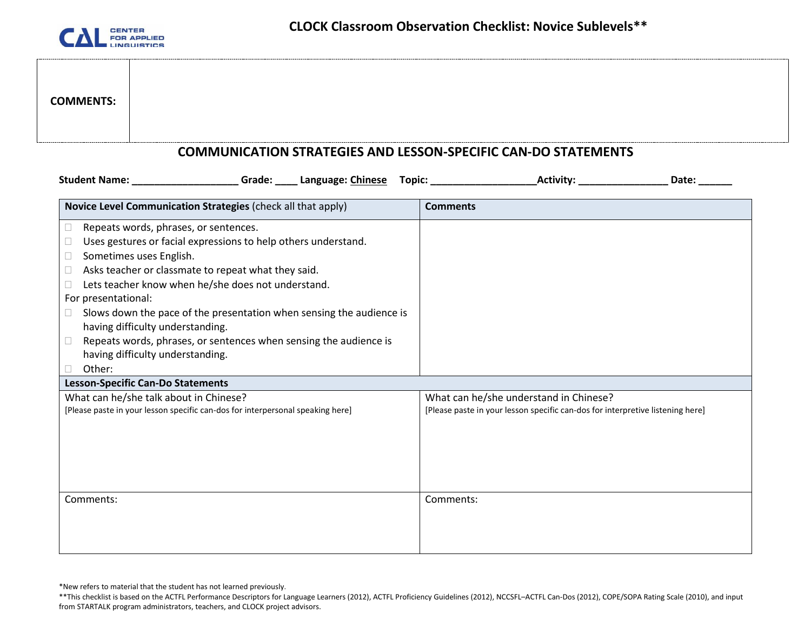

# **COMMENTS:**

#### **COMMUNICATION STRATEGIES AND LESSON-SPECIFIC CAN-DO STATEMENTS**

| Student Name: ______________________Grade: _____ Language: Chinese Topic: _________________________           | Activity: Activity:<br>Date:                                                   |
|---------------------------------------------------------------------------------------------------------------|--------------------------------------------------------------------------------|
| Novice Level Communication Strategies (check all that apply)                                                  | <b>Comments</b>                                                                |
| Repeats words, phrases, or sentences.<br>$\mathbf{L}$                                                         |                                                                                |
| Uses gestures or facial expressions to help others understand.                                                |                                                                                |
| Sometimes uses English.<br>$\Box$                                                                             |                                                                                |
| Asks teacher or classmate to repeat what they said.<br>$\Box$                                                 |                                                                                |
| Lets teacher know when he/she does not understand.                                                            |                                                                                |
| For presentational:                                                                                           |                                                                                |
| Slows down the pace of the presentation when sensing the audience is<br>□<br>having difficulty understanding. |                                                                                |
| Repeats words, phrases, or sentences when sensing the audience is                                             |                                                                                |
| having difficulty understanding.                                                                              |                                                                                |
| Other:                                                                                                        |                                                                                |
| <b>Lesson-Specific Can-Do Statements</b>                                                                      |                                                                                |
| What can he/she talk about in Chinese?                                                                        | What can he/she understand in Chinese?                                         |
| [Please paste in your lesson specific can-dos for interpersonal speaking here]                                | [Please paste in your lesson specific can-dos for interpretive listening here] |
|                                                                                                               |                                                                                |
|                                                                                                               |                                                                                |
|                                                                                                               |                                                                                |
|                                                                                                               |                                                                                |
|                                                                                                               |                                                                                |
| Comments:                                                                                                     | Comments:                                                                      |
|                                                                                                               |                                                                                |
|                                                                                                               |                                                                                |
|                                                                                                               |                                                                                |

\*New refers to material that the student has not learned previously.

<sup>\*\*</sup>This checklist is based on the ACTFL Performance Descriptors for Language Learners (2012), ACTFL Proficiency Guidelines (2012), NCCSFL–ACTFL Can-Dos (2012), COPE/SOPA Rating Scale (2010), and input from STARTALK program administrators, teachers, and CLOCK project advisors.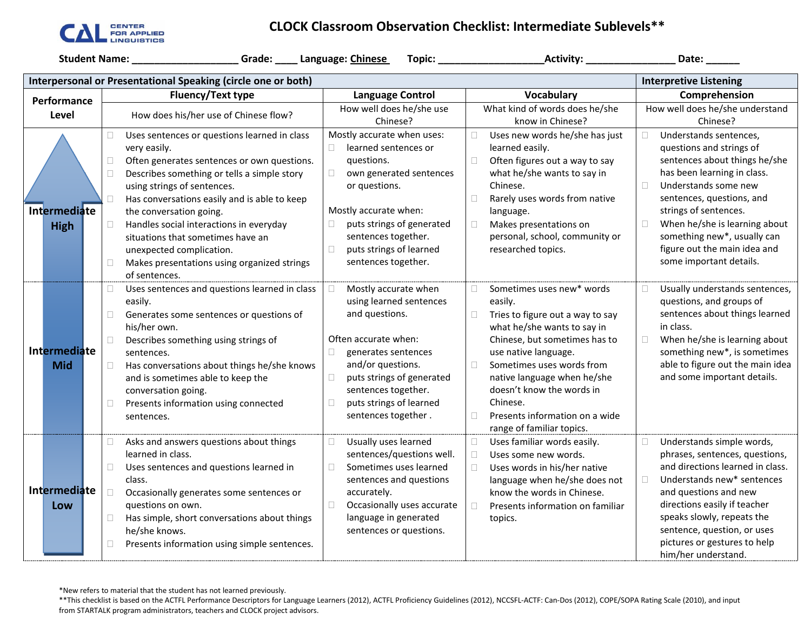

### **CLOCK Classroom Observation Checklist: Intermediate Sublevels\*\***

**Student Name: \_\_\_\_\_\_\_\_\_\_\_\_\_\_\_\_\_\_\_ Grade: \_\_\_\_ Language: Chinese Topic: \_\_\_\_\_\_\_\_\_\_\_\_\_\_\_\_\_\_\_Activity: \_\_\_\_\_\_\_\_\_\_\_\_\_\_\_\_ Date: \_\_\_\_\_\_**

|                                   | Interpersonal or Presentational Speaking (circle one or both)<br><b>Interpretive Listening</b>                                                                                                                                                                                                                                                                                                                                                                                              |                                                                                                                                                                                                                                                                           |                                                                                                                                                                                                                                                                                                                                                          |                                                                                                                                                                                                                                                                                                                                                      |  |  |
|-----------------------------------|---------------------------------------------------------------------------------------------------------------------------------------------------------------------------------------------------------------------------------------------------------------------------------------------------------------------------------------------------------------------------------------------------------------------------------------------------------------------------------------------|---------------------------------------------------------------------------------------------------------------------------------------------------------------------------------------------------------------------------------------------------------------------------|----------------------------------------------------------------------------------------------------------------------------------------------------------------------------------------------------------------------------------------------------------------------------------------------------------------------------------------------------------|------------------------------------------------------------------------------------------------------------------------------------------------------------------------------------------------------------------------------------------------------------------------------------------------------------------------------------------------------|--|--|
| Performance                       | <b>Fluency/Text type</b>                                                                                                                                                                                                                                                                                                                                                                                                                                                                    | <b>Language Control</b>                                                                                                                                                                                                                                                   | Vocabulary                                                                                                                                                                                                                                                                                                                                               | Comprehension                                                                                                                                                                                                                                                                                                                                        |  |  |
| Level                             | How does his/her use of Chinese flow?                                                                                                                                                                                                                                                                                                                                                                                                                                                       | How well does he/she use                                                                                                                                                                                                                                                  | What kind of words does he/she                                                                                                                                                                                                                                                                                                                           | How well does he/she understand                                                                                                                                                                                                                                                                                                                      |  |  |
|                                   |                                                                                                                                                                                                                                                                                                                                                                                                                                                                                             | Chinese?                                                                                                                                                                                                                                                                  | know in Chinese?                                                                                                                                                                                                                                                                                                                                         | Chinese?                                                                                                                                                                                                                                                                                                                                             |  |  |
| Intermediate<br><b>High</b>       | $\Box$<br>Uses sentences or questions learned in class<br>very easily.<br>$\Box$<br>Often generates sentences or own questions.<br>$\Box$<br>Describes something or tells a simple story<br>using strings of sentences.<br>Has conversations easily and is able to keep<br>$\Box$<br>the conversation going.<br>$\Box$<br>Handles social interactions in everyday<br>situations that sometimes have an<br>unexpected complication.<br>Makes presentations using organized strings<br>$\Box$ | Mostly accurate when uses:<br>learned sentences or<br>questions.<br>$\Box$<br>own generated sentences<br>or questions.<br>Mostly accurate when:<br>puts strings of generated<br>sentences together.<br>puts strings of learned<br>$\Box$<br>sentences together.           | Uses new words he/she has just<br>learned easily.<br>Often figures out a way to say<br>what he/she wants to say in<br>Chinese.<br>Rarely uses words from native<br>П<br>language.<br>Makes presentations on<br>П<br>personal, school, community or<br>researched topics.                                                                                 | Understands sentences,<br>$\Box$<br>questions and strings of<br>sentences about things he/she<br>has been learning in class.<br>$\Box$<br>Understands some new<br>sentences, questions, and<br>strings of sentences.<br>When he/she is learning about<br>□<br>something new*, usually can<br>figure out the main idea and<br>some important details. |  |  |
| <b>Intermediate</b><br><b>Mid</b> | of sentences.<br>Uses sentences and questions learned in class<br>□<br>easily.<br>Generates some sentences or questions of<br>$\Box$<br>his/her own.<br>Describes something using strings of<br>$\Box$<br>sentences.<br>$\Box$<br>Has conversations about things he/she knows<br>and is sometimes able to keep the<br>conversation going.<br>Presents information using connected<br>$\Box$<br>sentences.                                                                                   | Mostly accurate when<br>using learned sentences<br>and questions.<br>Often accurate when:<br>$\Box$<br>generates sentences<br>and/or questions.<br>puts strings of generated<br>$\Box$<br>sentences together.<br>puts strings of learned<br>$\Box$<br>sentences together. | Sometimes uses new* words<br>□<br>easily.<br>Tries to figure out a way to say<br>□<br>what he/she wants to say in<br>Chinese, but sometimes has to<br>use native language.<br>Sometimes uses words from<br>П<br>native language when he/she<br>doesn't know the words in<br>Chinese.<br>Presents information on a wide<br>П<br>range of familiar topics. | Usually understands sentences,<br>$\Box$<br>questions, and groups of<br>sentences about things learned<br>in class.<br>When he/she is learning about<br>$\Box$<br>something new*, is sometimes<br>able to figure out the main idea<br>and some important details.                                                                                    |  |  |
| Intermediate<br>Low               | Asks and answers questions about things<br>$\Box$<br>learned in class.<br>Uses sentences and questions learned in<br>$\Box$<br>class.<br>$\Box$<br>Occasionally generates some sentences or<br>questions on own.<br>Has simple, short conversations about things<br>$\Box$<br>he/she knows.<br>Presents information using simple sentences.<br>$\Box$                                                                                                                                       | Usually uses learned<br>C<br>sentences/questions well.<br>Sometimes uses learned<br>$\Box$<br>sentences and questions<br>accurately.<br>$\Box$<br>Occasionally uses accurate<br>language in generated<br>sentences or questions.                                          | Uses familiar words easily.<br>$\Box$<br>Uses some new words.<br>Uses words in his/her native<br>П<br>language when he/she does not<br>know the words in Chinese.<br>Presents information on familiar<br>П<br>topics.                                                                                                                                    | Understands simple words,<br>$\Box$<br>phrases, sentences, questions,<br>and directions learned in class.<br>$\Box$<br>Understands new* sentences<br>and questions and new<br>directions easily if teacher<br>speaks slowly, repeats the<br>sentence, question, or uses<br>pictures or gestures to help<br>him/her understand.                       |  |  |

\*New refers to material that the student has not learned previously.

<sup>\*\*</sup>This checklist is based on the ACTFL Performance Descriptors for Language Learners (2012), ACTFL Proficiency Guidelines (2012), NCCSFL-ACTF: Can-Dos (2012), COPE/SOPA Rating Scale (2010), and input from STARTALK program administrators, teachers and CLOCK project advisors.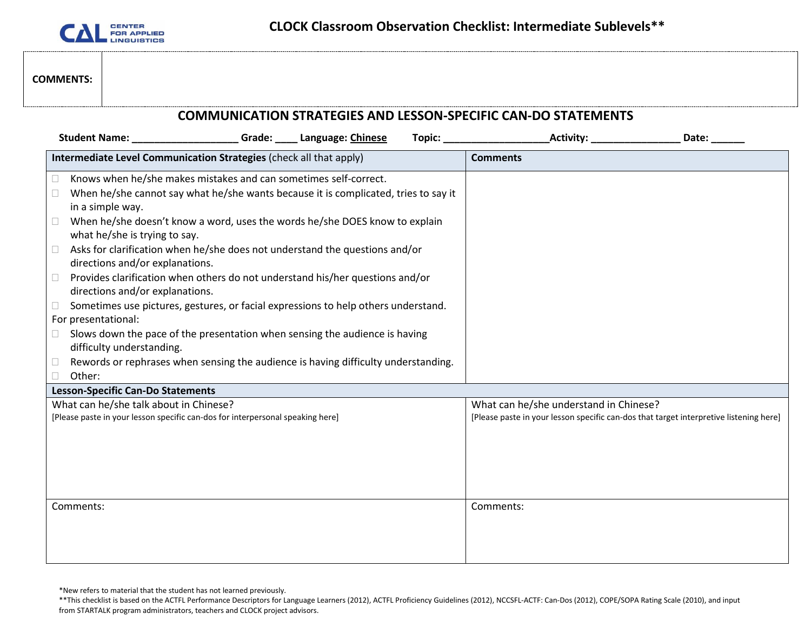

#### **COMMENTS:**

| <b>COMMUNICATION STRATEGIES AND LESSON-SPECIFIC CAN-DO STATEMENTS</b>                                                                                                                                                                                                                                                                                                                                                                                                                                                                                                                                                                                                                                                                                                                                                                                                                                   |                                                                                                                                  |  |  |  |  |
|---------------------------------------------------------------------------------------------------------------------------------------------------------------------------------------------------------------------------------------------------------------------------------------------------------------------------------------------------------------------------------------------------------------------------------------------------------------------------------------------------------------------------------------------------------------------------------------------------------------------------------------------------------------------------------------------------------------------------------------------------------------------------------------------------------------------------------------------------------------------------------------------------------|----------------------------------------------------------------------------------------------------------------------------------|--|--|--|--|
| Student Name: _________________________Grade: ______ Language: Chinese                                                                                                                                                                                                                                                                                                                                                                                                                                                                                                                                                                                                                                                                                                                                                                                                                                  |                                                                                                                                  |  |  |  |  |
| Intermediate Level Communication Strategies (check all that apply)                                                                                                                                                                                                                                                                                                                                                                                                                                                                                                                                                                                                                                                                                                                                                                                                                                      | <b>Comments</b>                                                                                                                  |  |  |  |  |
| Knows when he/she makes mistakes and can sometimes self-correct.<br>□<br>When he/she cannot say what he/she wants because it is complicated, tries to say it<br>$\Box$<br>in a simple way.<br>When he/she doesn't know a word, uses the words he/she DOES know to explain<br>$\Box$<br>what he/she is trying to say.<br>Asks for clarification when he/she does not understand the questions and/or<br>$\Box$<br>directions and/or explanations.<br>Provides clarification when others do not understand his/her questions and/or<br>$\Box$<br>directions and/or explanations.<br>Sometimes use pictures, gestures, or facial expressions to help others understand.<br>□<br>For presentational:<br>Slows down the pace of the presentation when sensing the audience is having<br>0<br>difficulty understanding.<br>Rewords or rephrases when sensing the audience is having difficulty understanding. |                                                                                                                                  |  |  |  |  |
| Other:                                                                                                                                                                                                                                                                                                                                                                                                                                                                                                                                                                                                                                                                                                                                                                                                                                                                                                  |                                                                                                                                  |  |  |  |  |
| <b>Lesson-Specific Can-Do Statements</b><br>What can he/she talk about in Chinese?<br>[Please paste in your lesson specific can-dos for interpersonal speaking here]                                                                                                                                                                                                                                                                                                                                                                                                                                                                                                                                                                                                                                                                                                                                    | What can he/she understand in Chinese?<br>[Please paste in your lesson specific can-dos that target interpretive listening here] |  |  |  |  |
| Comments:                                                                                                                                                                                                                                                                                                                                                                                                                                                                                                                                                                                                                                                                                                                                                                                                                                                                                               | Comments:                                                                                                                        |  |  |  |  |

\*New refers to material that the student has not learned previously.

<sup>\*\*</sup>This checklist is based on the ACTFL Performance Descriptors for Language Learners (2012), ACTFL Proficiency Guidelines (2012), NCCSFL-ACTF: Can-Dos (2012), COPE/SOPA Rating Scale (2010), and input from STARTALK program administrators, teachers and CLOCK project advisors.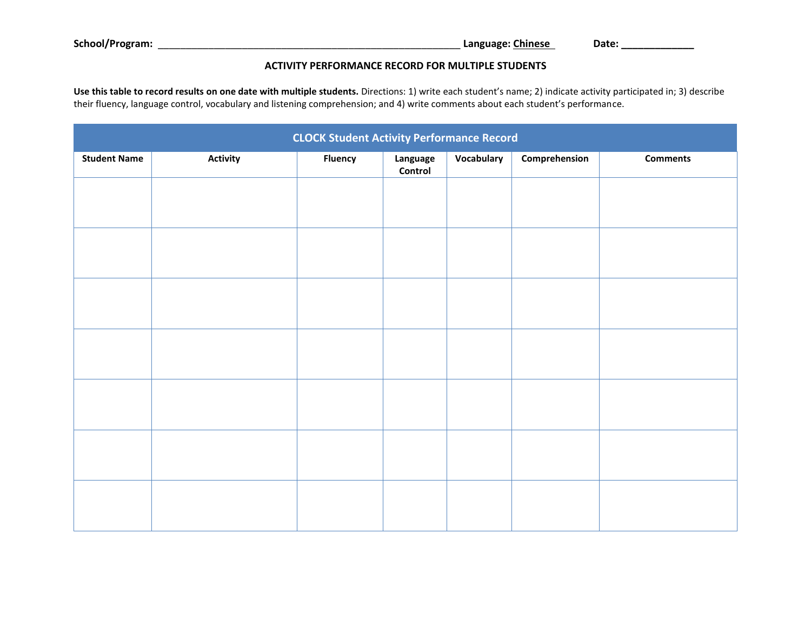#### **ACTIVITY PERFORMANCE RECORD FOR MULTIPLE STUDENTS**

**Use this table to record results on one date with multiple students.** Directions: 1) write each student's name; 2) indicate activity participated in; 3) describe their fluency, language control, vocabulary and listening comprehension; and 4) write comments about each student's performance.

| <b>CLOCK Student Activity Performance Record</b> |          |                |                     |            |               |                 |
|--------------------------------------------------|----------|----------------|---------------------|------------|---------------|-----------------|
| <b>Student Name</b>                              | Activity | <b>Fluency</b> | Language<br>Control | Vocabulary | Comprehension | <b>Comments</b> |
|                                                  |          |                |                     |            |               |                 |
|                                                  |          |                |                     |            |               |                 |
|                                                  |          |                |                     |            |               |                 |
|                                                  |          |                |                     |            |               |                 |
|                                                  |          |                |                     |            |               |                 |
|                                                  |          |                |                     |            |               |                 |
|                                                  |          |                |                     |            |               |                 |
|                                                  |          |                |                     |            |               |                 |
|                                                  |          |                |                     |            |               |                 |
|                                                  |          |                |                     |            |               |                 |
|                                                  |          |                |                     |            |               |                 |
|                                                  |          |                |                     |            |               |                 |
|                                                  |          |                |                     |            |               |                 |
|                                                  |          |                |                     |            |               |                 |